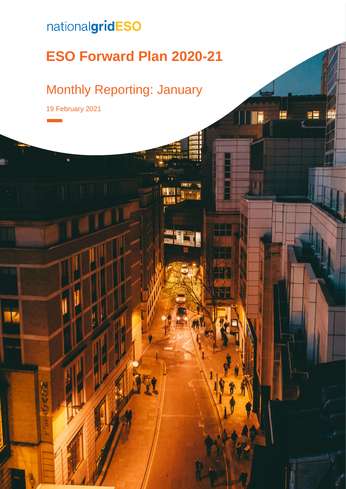## nationalgridESO

# **ESO Forward Plan 2020-21**

F

## Monthly Reporting: January

19 February 2021

nenz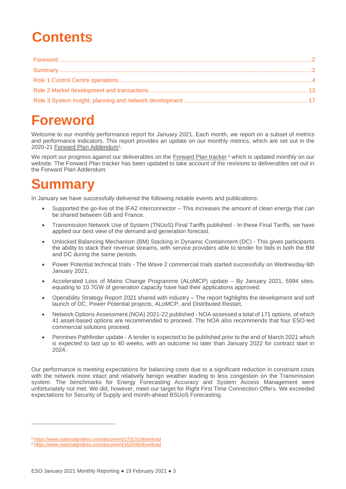## **Contents**

## <span id="page-1-0"></span>**Foreword**

Welcome to our monthly performance report for January 2021. Each month, we report on a subset of metrics and performance indicators. This report provides an update on our monthly metrics, which are set out in the 2020-21 Forward Plan Addendum<sup>1</sup>.

We report our progress against our deliverables on the Forward Pla[n tracker](https://www.nationalgrideso.com/about-us/business-planning-riio/how-were-performing).<sup>2</sup> which is updated monthly on our website. The Forward Plan tracker has been updated to take account of the revisions to deliverables set out in the Forward Plan Addendum.

## <span id="page-1-1"></span>**Summary**

In January we have successfully delivered the following notable events and publications:

- Supported the go-live of the IFA2 interconnector This increases the amount of clean energy that can be shared between GB and France.
- Transmission Network Use of System (TNUoS) Final Tariffs published In these Final Tariffs, we have applied our best view of the demand and generation forecast.
- Unlocked Balancing Mechanism (BM) Stacking in Dynamic Containment (DC) This gives participants the ability to stack their revenue streams, with service providers able to tender for bids in both the BM and DC during the same periods.
- Power Potential technical trials The Wave 2 commercial trials started successfully on Wednesday 6th January 2021.
- Accelerated Loss of Mains Change Programme (ALoMCP) update By January 2021, 5994 sites, equating to 10.7GW of generation capacity have had their applications approved.
- Operability Strategy Report 2021 shared with industry The report highlights the development and soft launch of DC, Power Potential projects, ALoMCP, and Distributed Restart.
- Network Options Assessment (NOA) 2021-22 published NOA assessed a total of 171 options, of which 41 asset-based options are recommended to proceed. The NOA also recommends that four ESO-led commercial solutions proceed.
- Pennines Pathfinder update A tender is expected to be published prior to the end of March 2021 which is expected to last up to 40 weeks, with an outcome no later than January 2022 for contract start in 2024.

Our performance is meeting expectations for balancing costs due to a significant reduction in constraint costs with the network more intact and relatively benign weather leading to less congestion on the Transmission system. The benchmarks for Energy Forecasting Accuracy and System Access Management were unfortunately not met. We did, however, meet our target for Right First Time Connection Offers. We exceeded expectations for Security of Supply and month-ahead BSUoS Forecasting.

<sup>1</sup> <https://www.nationalgrideso.com/document/173131/download>

<sup>2</sup> https://www.nationalgrideso.com/document/162046/download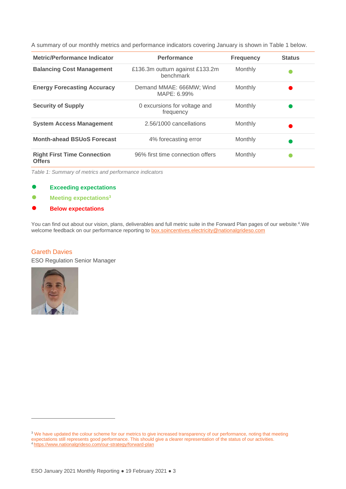A summary of our monthly metrics and performance indicators covering January is shown in [Table 1](#page-2-0) below.

| <b>Metric/Performance Indicator</b>                 | <b>Performance</b>                           | <b>Frequency</b> | <b>Status</b> |
|-----------------------------------------------------|----------------------------------------------|------------------|---------------|
| <b>Balancing Cost Management</b>                    | £136.3m outturn against £133.2m<br>benchmark | Monthly          |               |
| <b>Energy Forecasting Accuracy</b>                  | Demand MMAE: 666MW; Wind<br>MAPE: 6.99%      | Monthly          |               |
| <b>Security of Supply</b>                           | 0 excursions for voltage and<br>frequency    | Monthly          |               |
| <b>System Access Management</b>                     | 2.56/1000 cancellations                      | Monthly          |               |
| <b>Month-ahead BSUoS Forecast</b>                   | 4% forecasting error                         | Monthly          |               |
| <b>Right First Time Connection</b><br><b>Offers</b> | 96% first time connection offers             | Monthly          |               |

<span id="page-2-0"></span>*Table 1: Summary of metrics and performance indicators*

- **Exceeding expectations**
- **Meeting expectations<sup>3</sup>**
- **Below expectations**

You can find out about our vision, plans, deliverables and full metric suite in the [Forward Plan pages](https://www.nationalgrideso.com/about-us/business-plans/forward-plans-2021) of our website.<sup>4</sup>. We welcome feedback on our performance reporting to [box.soincentives.electricity@nationalgrideso.com](mailto:box.soincentives.electricity@nationalgrideso.com)

#### Gareth Davies

ESO Regulation Senior Manager



<sup>&</sup>lt;sup>3</sup> We have updated the colour scheme for our metrics to give increased transparency of our performance, noting that meeting expectations still represents good performance. This should give a clearer representation of the status of our activities. <sup>4</sup> <https://www.nationalgrideso.com/our-strategy/forward-plan>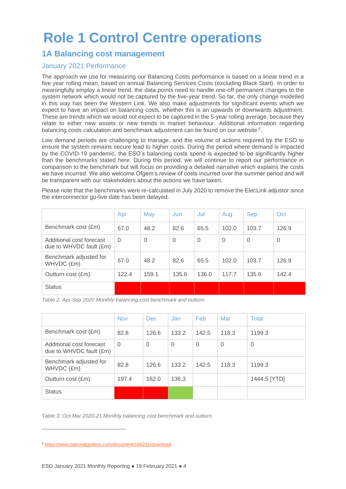## <span id="page-3-0"></span>**Role 1 Control Centre operations**

### **1A Balancing cost management**

#### January 2021 Performance

The approach we use for measuring our Balancing Costs performance is based on a linear trend in a five year rolling mean, based on annual Balancing Services Costs (excluding Black Start). In order to meaningfully employ a linear trend, the data points need to handle one-off permanent changes to the system network which would not be captured by the five-year trend. So far, the only change modelled in this way has been the Western Link. We also make adjustments for significant events which we expect to have an impact on balancing costs, whether this is an upwards or downwards adjustment. These are trends which we would not expect to be captured in the 5-year rolling average, because they relate to either new assets or new trends in market behaviour. Additional information regarding balancing costs calculation and benchmark adjustment can be found on our website.<sup>5</sup>.

Low demand periods are challenging to manage, and the volume of actions required by the ESO to ensure the system remains secure lead to higher costs. During the period where demand is impacted by the COVID-19 pandemic, the ESO's balancing costs spend is expected to be significantly higher than the benchmarks stated here. During this period, we will continue to report our performance in comparison to the benchmark but will focus on providing a detailed narrative which explains the costs we have incurred. We also welcome Ofgem's review of costs incurred over the summer period and will be transparent with our stakeholders about the actions we have taken.

Please note that the benchmarks were re-calculated in July 2020 to remove the ElecLink adjustor since the interconnector go-live date has been delayed.

|                                                     | Apr      | May      | Jun      | Jul            | Aug      | <b>Sep</b>     | Oct      |
|-----------------------------------------------------|----------|----------|----------|----------------|----------|----------------|----------|
| Benchmark cost (£m)                                 | 67.0     | 48.2     | 82.6     | 65.5           | 102.0    | 103.7          | 126.9    |
| Additional cost forecast<br>due to WHVDC fault (£m) | $\Omega$ | $\Omega$ | $\Omega$ | $\overline{0}$ | $\Omega$ | $\overline{0}$ | $\Omega$ |
| Benchmark adjusted for<br>WHVDC (£m)                | 67.0     | 48.2     | 82.6     | 65.5           | 102.0    | 103.7          | 126.9    |
| Outturn cost (£m)                                   | 122.4    | 159.1    | 135.6    | 136.0          | 117.7    | 135.6          | 142.4    |
| <b>Status</b>                                       |          |          |          |                |          |                |          |

*Table 2: Apr-Sep 2020 Monthly balancing cost benchmark and outturn.*

|                                                     | <b>Nov</b> | <b>Dec</b> | Jan.     | Feb         | Mar      | Total        |
|-----------------------------------------------------|------------|------------|----------|-------------|----------|--------------|
| Benchmark cost (£m)                                 | 82.8       | 126.6      | 133.2    | 142.5       | 118.3    | 1199.3       |
| Additional cost forecast<br>due to WHVDC fault (£m) | $\Omega$   | $\Omega$   | $\Omega$ | $\mathbf 0$ | $\Omega$ | $\Omega$     |
| Benchmark adjusted for<br>WHVDC (£m)                | 82.8       | 126.6      | 133.2    | 142.5       | 118.3    | 1199.3       |
| Outturn cost (£m)                                   | 197.4      | 162.0      | 136.3    |             |          | 1444.5 [YTD] |
| <b>Status</b>                                       |            |            |          |             |          |              |

*Table 3: Oct-Mar 2020-21 Monthly balancing cost benchmark and outturn.*

<sup>5</sup> <https://www.nationalgrideso.com/document/166231/download>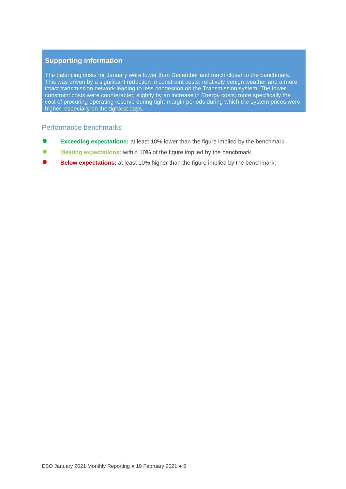The balancing costs for January were lower than December and much closer to the benchmark. This was driven by a significant reduction in constraint costs; relatively benign weather and a more intact transmission network leading to less congestion on the Transmission system. The lower constraint costs were counteracted slightly by an increase in Energy costs; more specifically the cost of procuring operating reserve during tight margin periods during which the system prices were higher, especially on the tightest days.

#### Performance benchmarks

- **Exceeding expectations:** at least 10% lower than the figure implied by the benchmark.
- **Meeting expectations:** within 10% of the figure implied by the benchmark
- **Below expectations:** at least 10% higher than the figure implied by the benchmark.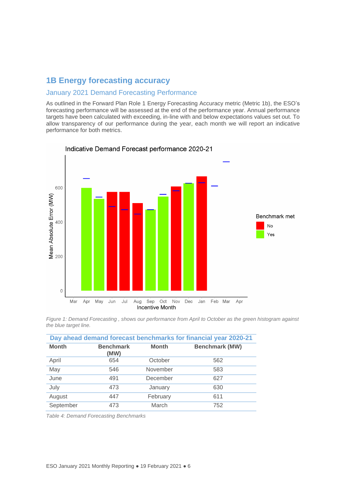### **1B Energy forecasting accuracy**

#### January 2021 Demand Forecasting Performance

As outlined in the Forward Plan Role 1 Energy Forecasting Accuracy metric (Metric 1b), the ESO's forecasting performance will be assessed at the end of the performance year. Annual performance targets have been calculated with exceeding, in-line with and below expectations values set out. To allow transparency of our performance during the year, each month we will report an indicative performance for both metrics.



Indicative Demand Forecast performance 2020-21

*Figure [1: Demand Forecasting ,](#page-5-0) shows our performance from April to October as the green histogram against the blue target line.*

| Day ahead demand forecast benchmarks for financial year 2020-21 |                          |              |                       |  |  |
|-----------------------------------------------------------------|--------------------------|--------------|-----------------------|--|--|
| <b>Month</b>                                                    | <b>Benchmark</b><br>(MW) | <b>Month</b> | <b>Benchmark (MW)</b> |  |  |
| April                                                           | 654                      | October      | 562                   |  |  |
| May                                                             | 546                      | November     | 583                   |  |  |
| June                                                            | 491                      | December     | 627                   |  |  |
| July                                                            | 473                      | January      | 630                   |  |  |
| August                                                          | 447                      | February     | 611                   |  |  |
| September                                                       | 473                      | March        | 752                   |  |  |

<span id="page-5-0"></span>*Table 4: Demand Forecasting Benchmarks*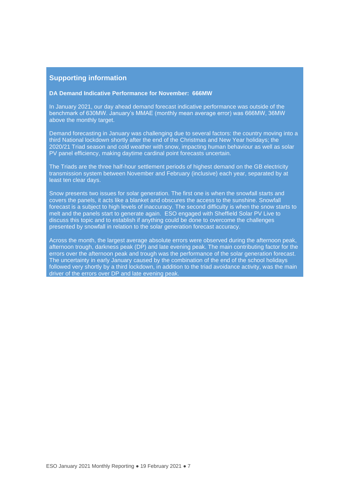#### **DA Demand Indicative Performance for November: 666MW**

In January 2021, our day ahead demand forecast indicative performance was outside of the benchmark of 630MW. January's MMAE (monthly mean average error) was 666MW, 36MW above the monthly target.

Demand forecasting in January was challenging due to several factors: the country moving into a third National lockdown shortly after the end of the Christmas and New Year holidays; the 2020/21 Triad season and cold weather with snow, impacting human behaviour as well as solar PV panel efficiency, making daytime cardinal point forecasts uncertain.

The Triads are the three half-hour settlement periods of highest demand on the GB electricity transmission system between November and February (inclusive) each year, separated by at least ten clear days.

Snow presents two issues for solar generation. The first one is when the snowfall starts and covers the panels, it acts like a blanket and obscures the access to the sunshine. Snowfall forecast is a subject to high levels of inaccuracy. The second difficulty is when the snow starts to melt and the panels start to generate again. ESO engaged with Sheffield Solar PV Live to discuss this topic and to establish if anything could be done to overcome the challenges presented by snowfall in relation to the solar generation forecast accuracy.

Across the month, the largest average absolute errors were observed during the afternoon peak, afternoon trough, darkness peak (DP) and late evening peak. The main contributing factor for the errors over the afternoon peak and trough was the performance of the solar generation forecast. The uncertainty in early January caused by the combination of the end of the school holidays followed very shortly by a third lockdown, in addition to the triad avoidance activity, was the main driver of the errors over DP and late evening peak.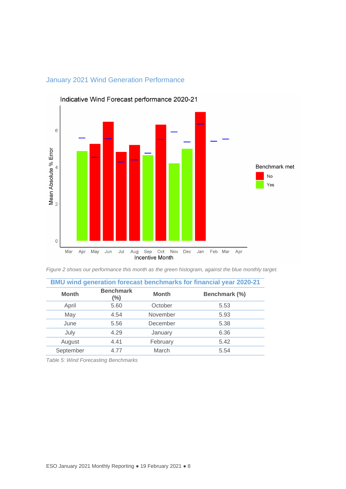

### January 2021 Wind Generation Performance

*Figure 2 shows our performance this month as the green histogram, against the blue monthly target.*

| BMU wind generation forecast benchmarks for financial year 2020-21 |                            |              |               |  |  |  |
|--------------------------------------------------------------------|----------------------------|--------------|---------------|--|--|--|
| <b>Month</b>                                                       | <b>Benchmark</b><br>$(\%)$ | <b>Month</b> | Benchmark (%) |  |  |  |
| April                                                              | 5.60                       | October      | 5.53          |  |  |  |
| May                                                                | 4.54                       | November     | 5.93          |  |  |  |
| June                                                               | 5.56                       | December     | 5.38          |  |  |  |
| July                                                               | 4.29                       | January      | 6.36          |  |  |  |
| August                                                             | 4.41                       | February     | 5.42          |  |  |  |
| September                                                          | 4.77                       | March        | 5.54          |  |  |  |

*Table 5: Wind Forecasting Benchmarks*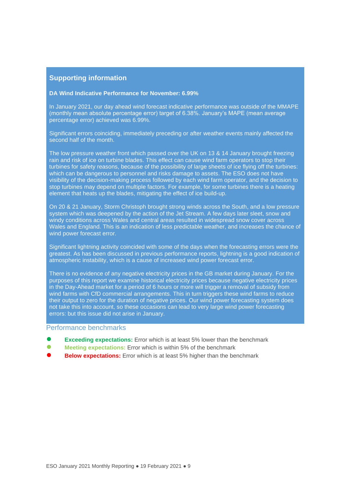#### **DA Wind Indicative Performance for November: 6.99%**

In January 2021, our day ahead wind forecast indicative performance was outside of the MMAPE (monthly mean absolute percentage error) target of 6.38%. January's MAPE (mean average percentage error) achieved was 6.99%.

Significant errors coinciding, immediately preceding or after weather events mainly affected the second half of the month.

The low pressure weather front which passed over the UK on 13 & 14 January brought freezing rain and risk of ice on turbine blades. This effect can cause wind farm operators to stop their turbines for safety reasons, because of the possibility of large sheets of ice flying off the turbines: which can be dangerous to personnel and risks damage to assets. The ESO does not have visibility of the decision-making process followed by each wind farm operator, and the decision to stop turbines may depend on multiple factors. For example, for some turbines there is a heating element that heats up the blades, mitigating the effect of ice build-up.

On 20 & 21 January, Storm Christoph brought strong winds across the South, and a low pressure system which was deepened by the action of the Jet Stream. A few days later sleet, snow and windy conditions across Wales and central areas resulted in widespread snow cover across Wales and England. This is an indication of less predictable weather, and increases the chance of wind power forecast error.

Significant lightning activity coincided with some of the days when the forecasting errors were the greatest. As has been discussed in previous performance reports, lightning is a good indication of atmospheric instability, which is a cause of increased wind power forecast error.

There is no evidence of any negative electricity prices in the GB market during January. For the purposes of this report we examine historical electricity prices because negative electricity prices in the Day-Ahead market for a period of 6 hours or more will trigger a removal of subsidy from wind farms with CfD commercial arrangements. This in turn triggers these wind farms to reduce their output to zero for the duration of negative prices. Our wind power forecasting system does not take this into account, so these occasions can lead to very large wind power forecasting errors: but this issue did not arise in January.

#### Performance benchmarks

- **Exceeding expectations:** Error which is at least 5% lower than the benchmark
- **Meeting expectations:** Error which is within 5% of the benchmark
- **Below expectations:** Error which is at least 5% higher than the benchmark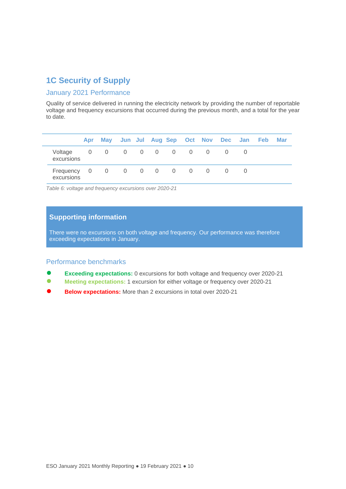### **1C Security of Supply**

#### January 2021 Performance

Quality of service delivered in running the electricity network by providing the number of reportable voltage and frequency excursions that occurred during the previous month, and a total for the year to date.

|                       |                                                             | Apr May Jun Jul Aug Sep Oct Nov Dec Jan Feb |  |  |  |  | <b>Mar</b> |
|-----------------------|-------------------------------------------------------------|---------------------------------------------|--|--|--|--|------------|
| Voltage<br>excursions | $\begin{matrix} 0 & 0 & 0 & 0 & 0 & 0 & 0 & 0 \end{matrix}$ |                                             |  |  |  |  |            |
|                       | Frequency 0 0 0 0 0 0 0 0 0 0<br>excursions                 |                                             |  |  |  |  |            |

*Table 6: voltage and frequency excursions over 2020-21*

#### **Supporting information**

There were no excursions on both voltage and frequency. Our performance was therefore exceeding expectations in January.

#### Performance benchmarks

- **Exceeding expectations:** 0 excursions for both voltage and frequency over 2020-21
- **Meeting expectations: 1 excursion for either voltage or frequency over 2020-21**
- **Below expectations:** More than 2 excursions in total over 2020-21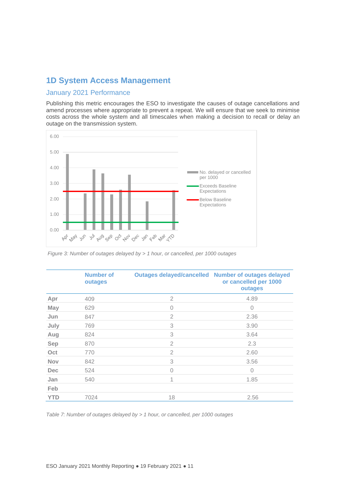### **1D System Access Management**

#### January 2021 Performance

Publishing this metric encourages the ESO to investigate the causes of outage cancellations and amend processes where appropriate to prevent a repeat. We will ensure that we seek to minimise costs across the whole system and all timescales when making a decision to recall or delay an outage on the transmission system.



*Figure 3: Number of outages delayed by > 1 hour, or cancelled, per 1000 outages* 

|            | <b>Number of</b><br>outages |                | <b>Outages delayed/cancelled Number of outages delayed</b><br>or cancelled per 1000<br>outages |
|------------|-----------------------------|----------------|------------------------------------------------------------------------------------------------|
| Apr        | 409                         | 2              | 4.89                                                                                           |
| <b>May</b> | 629                         | $\Omega$       | $\mathcal{O}$                                                                                  |
| Jun        | 847                         | $\overline{2}$ | 2.36                                                                                           |
| July       | 769                         | 3              | 3.90                                                                                           |
| Aug        | 824                         | 3              | 3.64                                                                                           |
| <b>Sep</b> | 870                         | $\overline{2}$ | 2.3                                                                                            |
| Oct        | 770                         | $\overline{2}$ | 2.60                                                                                           |
| <b>Nov</b> | 842                         | 3              | 3.56                                                                                           |
| <b>Dec</b> | 524                         | $\Omega$       | $\Omega$                                                                                       |
| Jan        | 540                         | 1              | 1.85                                                                                           |
| Feb        |                             |                |                                                                                                |
| <b>YTD</b> | 7024                        | 18             | 2.56                                                                                           |

*Table 7: Number of outages delayed by > 1 hour, or cancelled, per 1000 outages*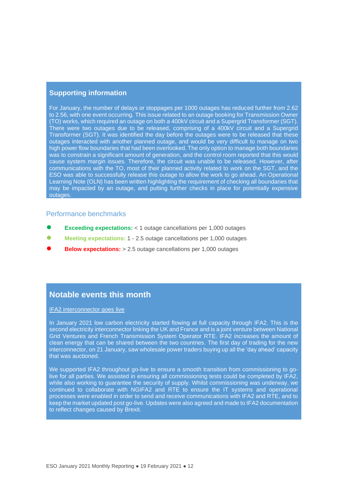For January, the number of delays or stoppages per 1000 outages has reduced further from 2.62 to 2.56, with one event occurring. This issue related to an outage booking for Transmission Owner (TO) works, which required an outage on both a 400kV circuit and a Supergrid Transformer (SGT). There were two outages due to be released, comprising of a 400kV circuit and a Supergrid Transformer (SGT). It was identified the day before the outages were to be released that these outages interacted with another planned outage, and would be very difficult to manage on two high power flow boundaries that had been overlooked. The only option to manage both boundaries was to constrain a significant amount of generation, and the control room reported that this would cause system margin issues. Therefore, the circuit was unable to be released. However, after communications with the TO, most of their planned activity related to work on the SGT, and the ESO was able to successfully release this outage to allow the work to go ahead. An Operational Learning Note (OLN) has been written highlighting the requirement of checking all boundaries that may be impacted by an outage, and putting further checks in place for potentially expensive outages.

#### Performance benchmarks

- **Exceeding expectations: < 1 outage cancellations per 1,000 outages**
- **Meeting expectations: 1 2.5 outage cancellations per 1,000 outages**
- **Below expectations:** > 2.5 outage cancellations per 1,000 outages

#### **Notable events this month**

IFA2 interconnector goes live

In January 2021 low carbon electricity started flowing at full capacity through IFA2. This is the second electricity interconnector linking the UK and France and is a joint venture between National Grid Ventures and French Transmission System Operator RTE. IFA2 increases the amount of clean energy that can be shared between the two countries. The first day of trading for the new interconnector, on 21 January, saw wholesale power traders buying up all the 'day ahead' capacity that was auctioned.

We supported IFA2 throughout go-live to ensure a smooth transition from commissioning to golive for all parties. We assisted in ensuring all commissioning tests could be completed by IFA2, while also working to guarantee the security of supply. Whilst commissioning was underway, we continued to collaborate with NGIFA2 and RTE to ensure the IT systems and operational processes were enabled in order to send and receive communications with IFA2 and RTE, and to keep the market updated post go-live. Updates were also agreed and made to IFA2 documentation to reflect changes caused by Brexit.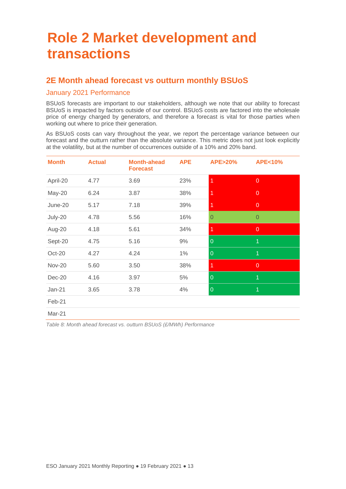## <span id="page-12-0"></span>**Role 2 Market development and transactions**

### **2E Month ahead forecast vs outturn monthly BSUoS**

#### January 2021 Performance

BSUoS forecasts are important to our stakeholders, although we note that our ability to forecast BSUoS is impacted by factors outside of our control. BSUoS costs are factored into the wholesale price of energy charged by generators, and therefore a forecast is vital for those parties when working out where to price their generation.

As BSUoS costs can vary throughout the year, we report the percentage variance between our forecast and the outturn rather than the absolute variance. This metric does not just look explicitly at the volatility, but at the number of occurrences outside of a 10% and 20% band.

| <b>Month</b>  | <b>Actual</b> | <b>Month-ahead</b><br><b>Forecast</b> | <b>APE</b> | <b>APE&gt;20%</b> | <b>APE&lt;10%</b> |
|---------------|---------------|---------------------------------------|------------|-------------------|-------------------|
| April-20      | 4.77          | 3.69                                  | 23%        | 1                 | $\overline{0}$    |
| May-20        | 6.24          | 3.87                                  | 38%        | 1                 | $\mathbf 0$       |
| June-20       | 5.17          | 7.18                                  | 39%        |                   | $\overline{0}$    |
| July-20       | 4.78          | 5.56                                  | 16%        | $\Omega$          | $\overline{0}$    |
| Aug-20        | 4.18          | 5.61                                  | 34%        | 1                 | $\overline{0}$    |
| Sept-20       | 4.75          | 5.16                                  | 9%         | $\overline{0}$    | 1                 |
| Oct-20        | 4.27          | 4.24                                  | $1\%$      | $\overline{0}$    | 1                 |
| <b>Nov-20</b> | 5.60          | 3.50                                  | 38%        | 1                 | $\overline{0}$    |
| Dec-20        | 4.16          | 3.97                                  | 5%         | $\overline{0}$    | 1                 |
| Jan-21        | 3.65          | 3.78                                  | 4%         | $\overline{0}$    | 1                 |
| Feb-21        |               |                                       |            |                   |                   |

Mar-21

*Table 8: Month ahead forecast vs. outturn BSUoS (£/MWh) Performance*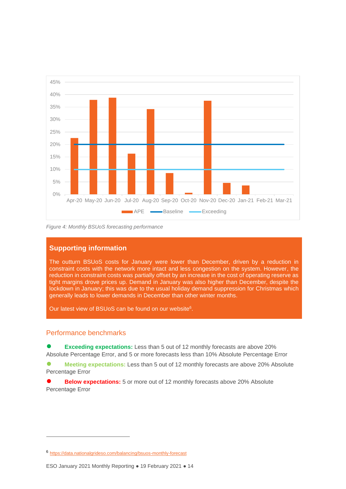

*Figure 4: Monthly BSUoS forecasting performance*

The outturn BSUoS costs for January were lower than December, driven by a reduction in constraint costs with the network more intact and less congestion on the system. However, the reduction in constraint costs was partially offset by an increase in the cost of operating reserve as tight margins drove prices up. Demand in January was also higher than December, despite the lockdown in January; this was due to the usual holiday demand suppression for Christmas which generally leads to lower demands in December than other winter months.

Our latest view of BSUoS can be found on our website<sup>6</sup>.

#### Performance benchmarks

**Exceeding expectations:** Less than 5 out of 12 monthly forecasts are above 20% Absolute Percentage Error, and 5 or more forecasts less than 10% Absolute Percentage Error

**● Meeting expectations:** Less than 5 out of 12 monthly forecasts are above 20% Absolute Percentage Error

**Below expectations:** 5 or more out of 12 monthly forecasts above 20% Absolute Percentage Error

<sup>6</sup> <https://data.nationalgrideso.com/balancing/bsuos-monthly-forecast>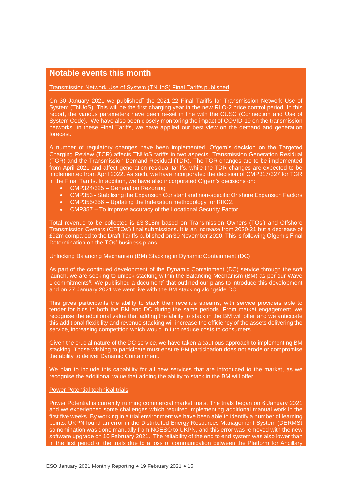### **Notable events this month**

Transmission Network Use of System (TNUoS) Final Tariffs published

On 30 January 2021 we published<sup>7</sup> the 2021-22 Final Tariffs for Transmission Network Use of System (TNUoS). This will be the first charging year in the new RIIO-2 price control period. In this report, the various parameters have been re-set in line with the CUSC (Connection and Use of System Code). We have also been closely monitoring the impact of COVID-19 on the transmission networks. In these Final Tariffs, we have applied our best view on the demand and generation forecast.

A number of regulatory changes have been implemented. Ofgem's decision on the Targeted Charging Review (TCR) affects TNUoS tariffs in two aspects, Transmission Generation Residual (TGR) and the Transmission Demand Residual (TDR). The TGR changes are to be implemented from April 2021 and affect generation residual tariffs, while the TDR changes are expected to be implemented from April 2022. As such, we have incorporated the decision of CMP317/327 for TGR in the Final Tariffs. In addition, we have also incorporated Ofgem's decisions on:

- CMP324/325 Generation Rezoning
- CMP353 Stabilising the Expansion Constant and non-specific Onshore Expansion Factors
- CMP355/356 Updating the Indexation methodology for RIIO2.
- CMP357 To improve accuracy of the Locational Security Factor

Total revenue to be collected is £3,318m based on Transmission Owners (TOs') and Offshore Transmission Owners (OFTOs') final submissions. It is an increase from 2020-21 but a decrease of £92m compared to the Draft Tariffs published on 30 November 2020. This is following Ofgem's Final Determination on the TOs' business plans.

#### Unlocking Balancing Mechanism (BM) Stacking in Dynamic Containment (DC)

As part of the continued development of the Dynamic Containment (DC) service through the soft launch, we are seeking to unlock stacking within the Balancing Mechanism (BM) as per our Wave 1 commitments<sup>8</sup>. We published a document<sup>9</sup> that outlined our plans to introduce this development and on 27 January 2021 we went live with the BM stacking alongside DC.

This gives participants the ability to stack their revenue streams, with service providers able to tender for bids in both the BM and DC during the same periods. From market engagement, we recognise the additional value that adding the ability to stack in the BM will offer and we anticipate this additional flexibility and revenue stacking will increase the efficiency of the assets delivering the service, increasing competition which would in turn reduce costs to consumers.

Given the crucial nature of the DC service, we have taken a cautious approach to implementing BM stacking. Those wishing to participate must ensure BM participation does not erode or compromise the ability to deliver Dynamic Containment.

We plan to include this capability for all new services that are introduced to the market, as we recognise the additional value that adding the ability to stack in the BM will offer.

#### Power Potential technical trials

Power Potential is currently running commercial market trials. The trials began on 6 January 2021 and we experienced some challenges which required implementing additional manual work in the first five weeks. By working in a trial environment we have been able to identify a number of learning points. UKPN found an error in the Distributed Energy Resources Management System (DERMS) so nomination was done manually from NGESO to UKPN, and this error was removed with the new software upgrade on 10 February 2021. The reliability of the end to end system was also lower than in the first period of the trials due to a loss of communication between the Platform for Ancillary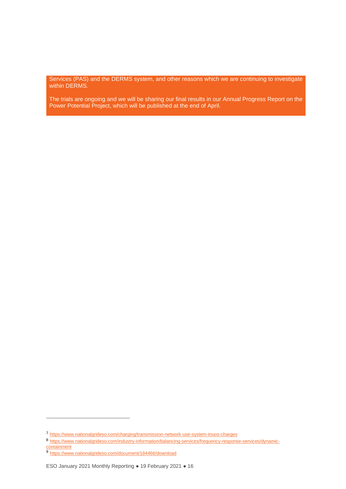Services (PAS) and the DERMS system, and other reasons which we are continuing to investigate within DERMS.

The trials are ongoing and we will be sharing our final results in our Annual Progress Report on the Power Potential Project, which will be published at the end of April.

<sup>7</sup> <https://www.nationalgrideso.com/charging/transmission-network-use-system-tnuos-charges>

<sup>8</sup> [https://www.nationalgrideso.com/industry-information/balancing-services/frequency-response-services/dynamic](https://www.nationalgrideso.com/industry-information/balancing-services/frequency-response-services/dynamic-containment)**[containment](https://www.nationalgrideso.com/industry-information/balancing-services/frequency-response-services/dynamic-containment)** 

<sup>9</sup> <https://www.nationalgrideso.com/document/184466/download>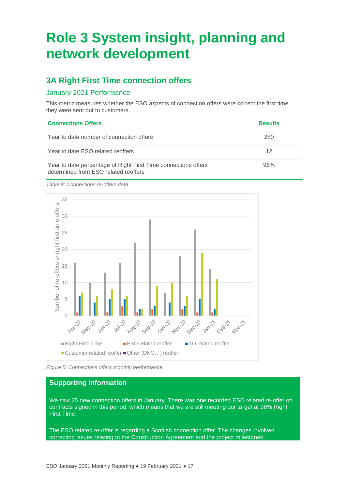## <span id="page-16-0"></span>**Role 3 System insight, planning and network development**

### **3A Right First Time connection offers**

#### January 2021 Performance

This metric measures whether the ESO aspects of connection offers were correct the first time they were sent out to customers.

| <b>Connections Offers</b>                                                                              | <b>Results</b> |
|--------------------------------------------------------------------------------------------------------|----------------|
| Year to date number of connection offers                                                               | 280            |
| Year to date ESO related reoffers                                                                      | 12             |
| Year to date percentage of Right First Time connections offers<br>determined from ESO related reoffers | 96%            |

*Table 9: Connections re-offers data*



*Figure 5: Connections offers monthly performance*

#### **Supporting information**

We saw 25 new connection offers in January. There was one recorded ESO related re-offer on contracts signed in this period, which means that we are still meeting our target at 96% Right First Time.

The ESO related re-offer is regarding a Scottish connection offer. The changes involved correcting issues relating to the Construction Agreement and the project milestones.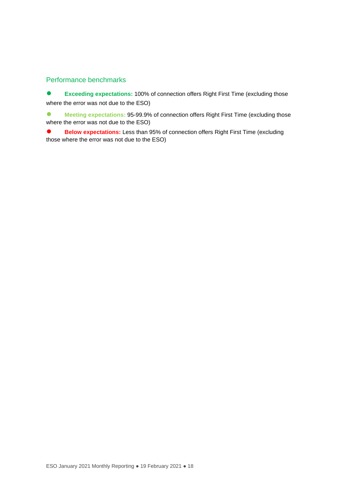#### Performance benchmarks

**Exceeding expectations: 100% of connection offers Right First Time (excluding those** where the error was not due to the ESO)

**● Meeting expectations:** 95-99.9% of connection offers Right First Time (excluding those where the error was not due to the ESO)

**Below expectations:** Less than 95% of connection offers Right First Time (excluding those where the error was not due to the ESO)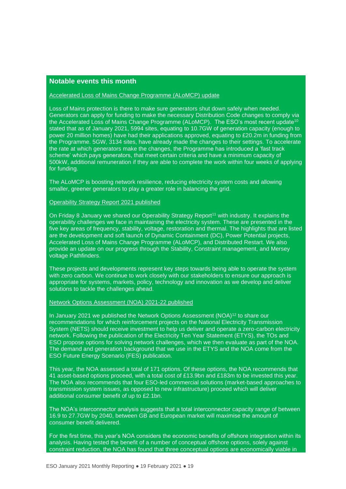#### **Notable events this month**

#### Accelerated Loss of Mains Change Programme (ALoMCP) update

Loss of Mains protection is there to make sure generators shut down safely when needed. Generators can apply for funding to make the necessary Distribution Code changes to comply via the Accelerated Loss of Mains Change Programme (ALoMCP). The ESO's most recent update<sup>10</sup> stated that as of January 2021, 5994 sites, equating to 10.7GW of generation capacity (enough to power 20 million homes) have had their applications approved, equating to £20.2m in funding from the Programme. 5GW, 3134 sites, have already made the changes to their settings. To accelerate the rate at which generators make the changes, the Programme has introduced a 'fast track scheme' which pays generators, that meet certain criteria and have a minimum capacity of 500kW, additional remuneration if they are able to complete the work within four weeks of applying for funding.

The ALoMCP is boosting network resilience, reducing electricity system costs and allowing smaller, greener generators to play a greater role in balancing the grid.

Operability Strategy Report 2021 published

On Friday 8 January we shared our Operability Strategy Report<sup>11</sup> with industry. It explains the operability challenges we face in maintaining the electricity system. These are presented in the five key areas of frequency, stability, voltage, restoration and thermal. The highlights that are listed are the development and soft launch of Dynamic Containment (DC), Power Potential projects, Accelerated Loss of Mains Change Programme (ALoMCP), and Distributed Restart. We also provide an update on our progress through the Stability, Constraint management, and Mersey voltage Pathfinders.

These projects and developments represent key steps towards being able to operate the system with zero carbon. We continue to work closely with our stakeholders to ensure our approach is appropriate for systems, markets, policy, technology and innovation as we develop and deliver solutions to tackle the challenges ahead.

Network Options Assessment (NOA) 2021-22 published

In January 2021 we published the Network Options Assessment (NOA)<sup>12</sup> to share our recommendations for which reinforcement projects on the National Electricity Transmission System (NETS) should receive investment to help us deliver and operate a zero-carbon electricity network. Following the publication of the Electricity Ten Year Statement (ETYS), the TOs and ESO propose options for solving network challenges, which we then evaluate as part of the NOA. The demand and generation background that we use in the ETYS and the NOA come from the ESO Future Energy Scenario (FES) publication.

This year, the NOA assessed a total of 171 options. Of these options, the NOA recommends that 41 asset-based options proceed, with a total cost of £13.9bn and £183m to be invested this year. The NOA also recommends that four ESO-led commercial solutions (market-based approaches to transmission system issues, as opposed to new infrastructure) proceed which will deliver additional consumer benefit of up to £2.1bn.

The NOA's interconnector analysis suggests that a total interconnector capacity range of between 16.9 to 27.7GW by 2040, between GB and European market will maximise the amount of consumer benefit delivered.

For the first time, this year's NOA considers the economic benefits of offshore integration within its analysis. Having tested the benefit of a number of conceptual offshore options, solely against constraint reduction, the NOA has found that three conceptual options are economically viable in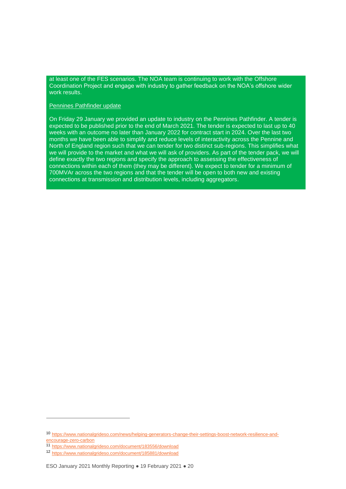at least one of the FES scenarios. The NOA team is continuing to work with the Offshore Coordination Project and engage with industry to gather feedback on the NOA's offshore wider work results.

#### Pennines Pathfinder update

On Friday 29 January we provided an update to industry on the Pennines Pathfinder. A tender is expected to be published prior to the end of March 2021. The tender is expected to last up to 40 weeks with an outcome no later than January 2022 for contract start in 2024. Over the last two months we have been able to simplify and reduce levels of interactivity across the Pennine and North of England region such that we can tender for two distinct sub-regions. This simplifies what we will provide to the market and what we will ask of providers. As part of the tender pack, we will define exactly the two regions and specify the approach to assessing the effectiveness of connections within each of them (they may be different). We expect to tender for a minimum of 700MVAr across the two regions and that the tender will be open to both new and existing connections at transmission and distribution levels, including aggregators.

<sup>10</sup> [https://www.nationalgrideso.com/news/helping-generators-change-their-settings-boost-network-resilience-and](https://www.nationalgrideso.com/news/helping-generators-change-their-settings-boost-network-resilience-and-encourage-zero-carbon)[encourage-zero-carbon](https://www.nationalgrideso.com/news/helping-generators-change-their-settings-boost-network-resilience-and-encourage-zero-carbon)

<sup>11</sup> <https://www.nationalgrideso.com/document/183556/download>

<sup>12</sup> <https://www.nationalgrideso.com/document/185881/download>